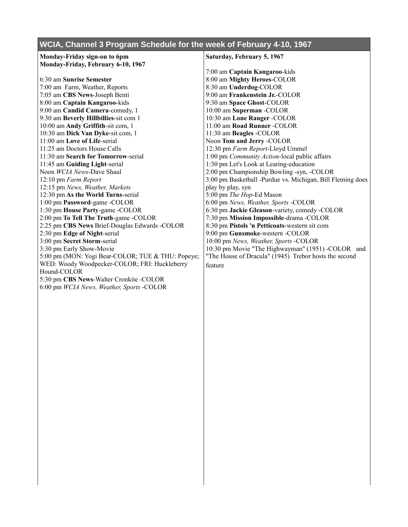|  |  |  | WCIA, Channel 3 Program Schedule for the week of February 4-10, 1967 |  |
|--|--|--|----------------------------------------------------------------------|--|
|  |  |  |                                                                      |  |

| Monday-Friday sign-on to 6pm                      | Saturday, February 5, 1967                                 |  |  |
|---------------------------------------------------|------------------------------------------------------------|--|--|
| Monday-Friday, February 6-10, 1967                |                                                            |  |  |
|                                                   | 7:00 am Captain Kangaroo-kids                              |  |  |
| 6:30 am Sunrise Semester                          | 8:00 am Mighty Heroes-COLOR                                |  |  |
| 7:00 am Farm, Weather, Reports                    | 8:30 am Underdog-COLOR                                     |  |  |
| 7:05 am CBS News-Joseph Benti                     | 9:00 am Frankenstein Jr.-COLOR                             |  |  |
| 8:00 am Captain Kangaroo-kids                     | 9:30 am Space Ghost-COLOR                                  |  |  |
| 9:00 am Candid Camera-comedy, 1                   | 10:00 am Superman -COLOR                                   |  |  |
| 9:30 am Beverly Hillbillies-sit com 1             | 10:30 am Lone Ranger -COLOR                                |  |  |
| 10:00 am Andy Griffith-sit com, 1                 | 11:00 am Road Runner -COLOR                                |  |  |
| 10:30 am Dick Van Dyke-sit com, 1                 | 11:30 am Beagles -COLOR                                    |  |  |
| 11:00 am Love of Life-serial                      | Noon Tom and Jerry -COLOR                                  |  |  |
| 11:25 am Doctors House Calls                      | 12:30 pm Farm Report-Lloyd Ummel                           |  |  |
| 11:30 am Search for Tomorrow-serial               | 1:00 pm Community Action-local public affairs              |  |  |
| 11:45 am Guiding Light-serial                     | 1:30 pm Let's Look at Learing-education                    |  |  |
| Noon WCIA News-Dave Shaul                         | 2:00 pm Championship Bowling -syn, -COLOR                  |  |  |
| 12:10 pm Farm Report                              | 3:00 pm Basketball -Purdue vs. Michigan, Bill Fleming does |  |  |
| 12:15 pm News, Weather, Markets                   | play by play, syn                                          |  |  |
| 12:30 pm As the World Turns-serial                | 5:00 pm The Hop-Ed Mason                                   |  |  |
| 1:00 pm Password-game -COLOR                      | 6:00 pm News, Weather, Sports -COLOR                       |  |  |
| 1:30 pm House Party-game -COLOR                   | 6:30 pm Jackie Gleason-variety, comedy -COLOR              |  |  |
| 2:00 pm To Tell The Truth-game -COLOR             | 7:30 pm Mission Impossible-drama -COLOR                    |  |  |
| 2:25 pm CBS News Brief-Douglas Edwards -COLOR     | 8:30 pm Pistols 'n Petticoats-western sit com              |  |  |
| 2:30 pm Edge of Night-serial                      | 9:00 pm Gunsmoke-western -COLOR                            |  |  |
| 3:00 pm Secret Storm-serial                       | 10:00 pm News, Weather, Sports -COLOR                      |  |  |
| 3:30 pm Early Show-Movie                          | 10:30 pm Movie "The Highwayman" (1951) -COLOR and          |  |  |
| 5:00 pm (MON: Yogi Bear-COLOR; TUE & THU: Popeye; | "The House of Dracula" (1945) Trebor hosts the second      |  |  |
| WED: Woody Woodpecker-COLOR; FRI: Huckleberry     | feature                                                    |  |  |
| Hound-COLOR                                       |                                                            |  |  |
| 5:30 pm CBS News-Walter Cronkite -COLOR           |                                                            |  |  |
| 6:00 pm WCIA News, Weather, Sports -COLOR         |                                                            |  |  |
|                                                   |                                                            |  |  |